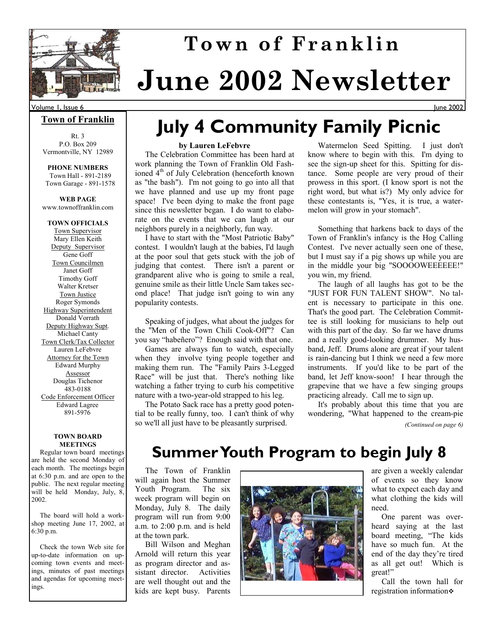

# **June 2002 Newsletter Town of Franklin**

#### **Town of Franklin**

Rt. 3 P.O. Box 209 Vermontville, NY 12989

**PHONE NUMBERS**  Town Hall - 891-2189 Town Garage - 891-1578

**WEB PAGE**  www.townoffranklin.com

#### **TOWN OFFICIALS**

Town Supervisor Mary Ellen Keith Deputy Supervisor Gene Goff Town Councilmen Janet Goff Timothy Goff Walter Kretser Town Justice Roger Symonds Highway Superintendent Donald Vorrath Deputy Highway Supt. Michael Canty Town Clerk/Tax Collector Lauren LeFebvre Attorney for the Town Edward Murphy Assessor Douglas Tichenor 483-0188 Code Enforcement Officer Edward Lagree 891-5976

#### **TOWN BOARD MEETINGS**

 Regular town board meetings are held the second Monday of each month. The meetings begin at 6:30 p.m. and are open to the public. The next regular meeting will be held Monday, July, 8, 2002.

 The board will hold a workshop meeting June 17, 2002, at 6:30 p.m.

 Check the town Web site for up-to-date information on upcoming town events and meetings, minutes of past meetings and agendas for upcoming meetings.

# **July 4 Community Family Picnic**

#### **by Lauren LeFebvre**

 The Celebration Committee has been hard at work planning the Town of Franklin Old Fashioned  $4<sup>th</sup>$  of July Celebration (henceforth known as "the bash"). I'm not going to go into all that we have planned and use up my front page space! I've been dying to make the front page since this newsletter began. I do want to elaborate on the events that we can laugh at our neighbors purely in a neighborly, fun way.

 I have to start with the "Most Patriotic Baby" contest. I wouldn't laugh at the babies, I'd laugh at the poor soul that gets stuck with the job of judging that contest. There isn't a parent or grandparent alive who is going to smile a real, genuine smile as their little Uncle Sam takes second place! That judge isn't going to win any popularity contests.

 Speaking of judges, what about the judges for the "Men of the Town Chili Cook-Off"? Can you say "habeñero"? Enough said with that one.

 Games are always fun to watch, especially when they involve tying people together and making them run. The "Family Pairs 3-Legged Race" will be just that. There's nothing like watching a father trying to curb his competitive nature with a two-year-old strapped to his leg.

 The Potato Sack race has a pretty good potential to be really funny, too. I can't think of why so we'll all just have to be pleasantly surprised.

 Watermelon Seed Spitting. I just don't know where to begin with this. I'm dying to see the sign-up sheet for this. Spitting for distance. Some people are very proud of their prowess in this sport. (I know sport is not the right word, but what is?) My only advice for these contestants is, "Yes, it is true, a watermelon will grow in your stomach".

June 2002

 Something that harkens back to days of the Town of Franklin's infancy is the Hog Calling Contest. I've never actually seen one of these, but I must say if a pig shows up while you are in the middle your big "SOOOOWEEEEEE!" you win, my friend.

 The laugh of all laughs has got to be the "JUST FOR FUN TALENT SHOW". No talent is necessary to participate in this one. That's the good part. The Celebration Committee is still looking for musicians to help out with this part of the day. So far we have drums and a really good-looking drummer. My husband, Jeff. Drums alone are great if your talent is rain-dancing but I think we need a few more instruments. If you'd like to be part of the band, let Jeff know-soon! I hear through the grapevine that we have a few singing groups practicing already. Call me to sign up.

 It's probably about this time that you are wondering, "What happened to the cream-pie *(Continued on page 6)* 

## **Summer Youth Program to begin July 8**

 The Town of Franklin will again host the Summer Youth Program. The six week program will begin on Monday, July 8. The daily program will run from 9:00 a.m. to 2:00 p.m. and is held at the town park.

 Bill Wilson and Meghan Arnold will return this year as program director and assistant director. Activities are well thought out and the kids are kept busy. Parents



are given a weekly calendar of events so they know what to expect each day and what clothing the kids will need.

 One parent was overheard saying at the last board meeting, "The kids have so much fun. At the end of the day they're tired as all get out! Which is great!"

 Call the town hall for registration information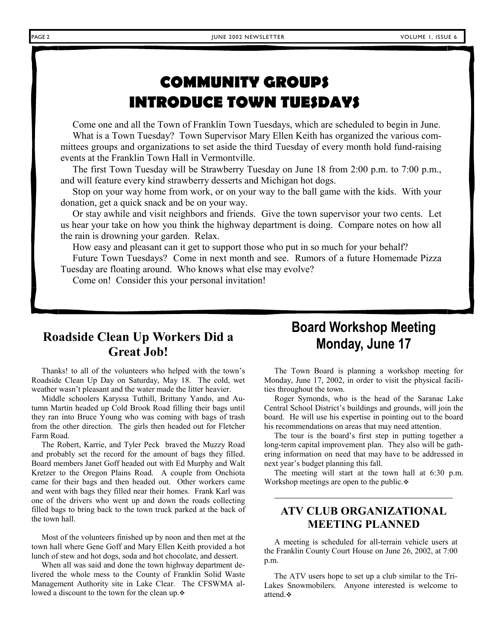# **COMMUNITY GROUPS INTRODUCE TOWN TUESDAYS**

 Come one and all the Town of Franklin Town Tuesdays, which are scheduled to begin in June. What is a Town Tuesday? Town Supervisor Mary Ellen Keith has organized the various committees groups and organizations to set aside the third Tuesday of every month hold fund-raising events at the Franklin Town Hall in Vermontville.

 The first Town Tuesday will be Strawberry Tuesday on June 18 from 2:00 p.m. to 7:00 p.m., and will feature every kind strawberry desserts and Michigan hot dogs.

 Stop on your way home from work, or on your way to the ball game with the kids. With your donation, get a quick snack and be on your way.

 Or stay awhile and visit neighbors and friends. Give the town supervisor your two cents. Let us hear your take on how you think the highway department is doing. Compare notes on how all the rain is drowning your garden. Relax.

How easy and pleasant can it get to support those who put in so much for your behalf?

 Future Town Tuesdays? Come in next month and see. Rumors of a future Homemade Pizza Tuesday are floating around. Who knows what else may evolve?

Come on! Consider this your personal invitation!

### **Roadside Clean Up Workers Did a Great Job!**

 Thanks! to all of the volunteers who helped with the town's Roadside Clean Up Day on Saturday, May 18. The cold, wet weather wasn't pleasant and the water made the litter heavier.

 Middle schoolers Karyssa Tuthill, Brittany Yando, and Autumn Martin headed up Cold Brook Road filling their bags until they ran into Bruce Young who was coming with bags of trash from the other direction. The girls then headed out for Fletcher Farm Road.

 The Robert, Karrie, and Tyler Peck braved the Muzzy Road and probably set the record for the amount of bags they filled. Board members Janet Goff headed out with Ed Murphy and Walt Kretzer to the Oregon Plains Road. A couple from Onchiota came for their bags and then headed out. Other workers came and went with bags they filled near their homes. Frank Karl was one of the drivers who went up and down the roads collecting filled bags to bring back to the town truck parked at the back of the town hall.

 Most of the volunteers finished up by noon and then met at the town hall where Gene Goff and Mary Ellen Keith provided a hot lunch of stew and hot dogs, soda and hot chocolate, and dessert.

 When all was said and done the town highway department delivered the whole mess to the County of Franklin Solid Waste Management Authority site in Lake Clear. The CFSWMA allowed a discount to the town for the clean up.

## **Board Workshop Meeting Monday, June 17**

 The Town Board is planning a workshop meeting for Monday, June 17, 2002, in order to visit the physical facilities throughout the town.

 Roger Symonds, who is the head of the Saranac Lake Central School District's buildings and grounds, will join the board. He will use his expertise in pointing out to the board his recommendations on areas that may need attention.

 The tour is the board's first step in putting together a long-term capital improvement plan. They also will be gathering information on need that may have to be addressed in next year's budget planning this fall.

 The meeting will start at the town hall at 6:30 p.m. Workshop meetings are open to the public.  $\diamond$ 

### **ATV CLUB ORGANIZATIONAL MEETING PLANNED**

 A meeting is scheduled for all-terrain vehicle users at the Franklin County Court House on June 26, 2002, at 7:00 p.m.

 The ATV users hope to set up a club similar to the Tri-Lakes Snowmobilers. Anyone interested is welcome to attend.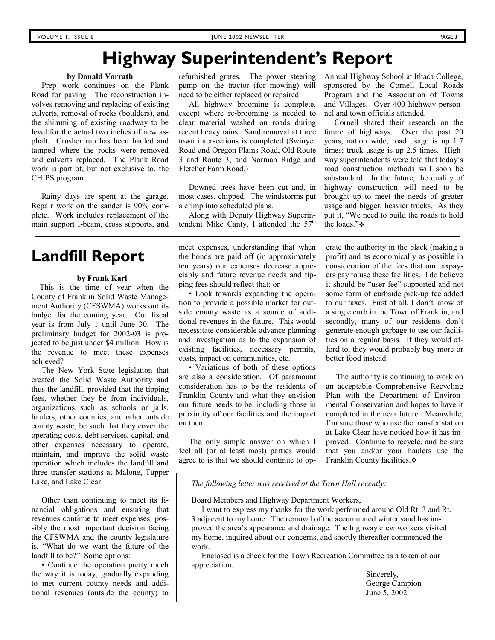# **Highway Superintendent's Report**

#### **by Donald Vorrath**

 Prep work continues on the Plank Road for paving. The reconstruction involves removing and replacing of existing culverts, removal of rocks (boulders), and the shimming of existing roadway to be level for the actual two inches of new asphalt. Crusher run has been hauled and tamped where the rocks were removed and culverts replaced. The Plank Road work is part of, but not exclusive to, the CHIPS program.

 Rainy days are spent at the garage. Repair work on the sander is 90% complete. Work includes replacement of the main support I-beam, cross supports, and

### **Landfill Report**

#### **by Frank Karl**

 This is the time of year when the County of Franklin Solid Waste Management Authority (CFSWMA) works out its budget for the coming year. Our fiscal year is from July 1 until June 30. The preliminary budget for 2002-03 is projected to be just under \$4 million. How is the revenue to meet these expenses achieved?

 The New York State legislation that created the Solid Waste Authority and thus the landfill, provided that the tipping fees, whether they be from individuals, organizations such as schools or jails, haulers, other counties, and other outside county waste, be such that they cover the operating costs, debt services, capital, and other expenses necessary to operate, maintain, and improve the solid waste operation which includes the landfill and three transfer stations at Malone, Tupper Lake, and Lake Clear.

 Other than continuing to meet its financial obligations and ensuring that revenues continue to meet expenses, possibly the most important decision facing the CFSWMA and the county legislature is, "What do we want the future of the landfill to be?" Some options:

 • Continue the operation pretty much the way it is today, gradually expanding to met current county needs and additional revenues (outside the county) to refurbished grates. The power steering pump on the tractor (for mowing) will need to be either replaced or repaired.

 All highway brooming is complete, except where re-brooming is needed to clear material washed on roads during recent heavy rains. Sand removal at three town intersections is completed (Swinyer Road and Oregon Plains Road, Old Route 3 and Route 3, and Norman Ridge and Fletcher Farm Road.)

 Downed trees have been cut and, in most cases, chipped. The windstorms put a crimp into scheduled plans.

 Along with Deputy Highway Superintendent Mike Canty, I attended the  $57<sup>th</sup>$  Annual Highway School at Ithaca College, sponsored by the Cornell Local Roads Program and the Association of Towns and Villages. Over 400 highway personnel and town officials attended.

 Cornell shared their research on the future of highways. Over the past 20 years, nation wide, road usage is up 1.7 times; truck usage is up 2.5 times. Highway superintendents were told that today's road construction methods will soon be substandard. In the future, the quality of highway construction will need to be brought up to meet the needs of greater usage and bigger, heavier trucks. As they put it, "We need to build the roads to hold the loads."❖

meet expenses, understanding that when the bonds are paid off (in approximately ten years) our expenses decrease appreciably and future revenue needs and tipping fees should reflect that; or

 • Look towards expanding the operation to provide a possible market for outside county waste as a source of additional revenues in the future. This would necessitate considerable advance planning and investigation as to the expansion of existing facilities, necessary permits, costs, impact on communities, etc.

 • Variations of both of these options are also a consideration. Of paramount consideration has to be the residents of Franklin County and what they envision our future needs to be, including those in proximity of our facilities and the impact on them.

 The only simple answer on which I feel all (or at least most) parties would agree to is that we should continue to op-

erate the authority in the black (making a profit) and as economically as possible in consideration of the fees that our taxpayers pay to use these facilities. I do believe it should be "user fee" supported and not some form of curbside pick-up fee added to our taxes. First of all, I don't know of a single curb in the Town of Franklin, and secondly, many of our residents don't generate enough garbage to use our facilities on a regular basis. If they would afford to, they would probably buy more or better food instead.

 The authority is continuing to work on an acceptable Comprehensive Recycling Plan with the Department of Environmental Conservation and hopes to have it completed in the near future. Meanwhile, I'm sure those who use the transfer station at Lake Clear have noticed how it has improved. Continue to recycle, and be sure that you and/or your haulers use the Franklin County facilities.

*The following letter was received at the Town Hall recently:* 

Board Members and Highway Department Workers,

 I want to express my thanks for the work performed around Old Rt. 3 and Rt. 3 adjacent to my home. The removal of the accumulated winter sand has improved the area's appearance and drainage. The highway crew workers visited my home, inquired about our concerns, and shortly thereafter commenced the work.

 Enclosed is a check for the Town Recreation Committee as a token of our appreciation.

> Sincerely, George Campion June 5, 2002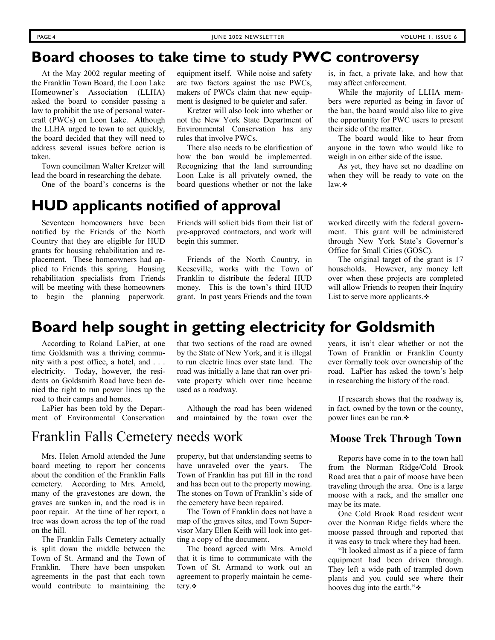### **Board chooses to take time to study PWC controversy**

 At the May 2002 regular meeting of the Franklin Town Board, the Loon Lake Homeowner's Association (LLHA) asked the board to consider passing a law to prohibit the use of personal watercraft (PWCs) on Loon Lake. Although the LLHA urged to town to act quickly, the board decided that they will need to address several issues before action is taken.

 Town councilman Walter Kretzer will lead the board in researching the debate.

One of the board's concerns is the

### **HUD applicants notified of approval**

 Seventeen homeowners have been notified by the Friends of the North Country that they are eligible for HUD grants for housing rehabilitation and replacement. These homeowners had applied to Friends this spring. Housing rehabilitation specialists from Friends will be meeting with these homeowners to begin the planning paperwork.

equipment itself. While noise and safety are two factors against the use PWCs, makers of PWCs claim that new equipment is designed to be quieter and safer.

 Kretzer will also look into whether or not the New York State Department of Environmental Conservation has any rules that involve PWCs.

 There also needs to be clarification of how the ban would be implemented. Recognizing that the land surrounding Loon Lake is all privately owned, the board questions whether or not the lake

Friends will solicit bids from their list of pre-approved contractors, and work will begin this summer.

 Friends of the North Country, in Keeseville, works with the Town of Franklin to distribute the federal HUD money. This is the town's third HUD grant. In past years Friends and the town

is, in fact, a private lake, and how that may affect enforcement.

 While the majority of LLHA members were reported as being in favor of the ban, the board would also like to give the opportunity for PWC users to present their side of the matter.

 The board would like to hear from anyone in the town who would like to weigh in on either side of the issue.

 As yet, they have set no deadline on when they will be ready to vote on the law  $\ddot{\bullet}$ 

worked directly with the federal government. This grant will be administered through New York State's Governor's Office for Small Cities (GOSC).

 The original target of the grant is 17 households. However, any money left over when these projects are completed will allow Friends to reopen their Inquiry List to serve more applicants. $\div$ 

# **Board help sought in getting electricity for Goldsmith**

 According to Roland LaPier, at one time Goldsmith was a thriving community with a post office, a hotel, and . . . electricity. Today, however, the residents on Goldsmith Road have been denied the right to run power lines up the road to their camps and homes.

 LaPier has been told by the Department of Environmental Conservation

### Franklin Falls Cemetery needs work

 Mrs. Helen Arnold attended the June board meeting to report her concerns about the condition of the Franklin Falls cemetery. According to Mrs. Arnold, many of the gravestones are down, the graves are sunken in, and the road is in poor repair. At the time of her report, a tree was down across the top of the road on the hill.

 The Franklin Falls Cemetery actually is split down the middle between the Town of St. Armand and the Town of Franklin. There have been unspoken agreements in the past that each town would contribute to maintaining the that two sections of the road are owned by the State of New York, and it is illegal to run electric lines over state land. The road was initially a lane that ran over private property which over time became used as a roadway.

 Although the road has been widened and maintained by the town over the

property, but that understanding seems to have unraveled over the years. The Town of Franklin has put fill in the road and has been out to the property mowing. The stones on Town of Franklin's side of the cemetery have been repaired.

 The Town of Franklin does not have a map of the graves sites, and Town Supervisor Mary Ellen Keith will look into getting a copy of the document.

 The board agreed with Mrs. Arnold that it is time to communicate with the Town of St. Armand to work out an agreement to properly maintain he cemetery.

years, it isn't clear whether or not the Town of Franklin or Franklin County ever formally took over ownership of the road. LaPier has asked the town's help in researching the history of the road.

 If research shows that the roadway is, in fact, owned by the town or the county, power lines can be run.

### **Moose Trek Through Town**

 Reports have come in to the town hall from the Norman Ridge/Cold Brook Road area that a pair of moose have been traveling through the area. One is a large moose with a rack, and the smaller one may be its mate.

 One Cold Brook Road resident went over the Norman Ridge fields where the moose passed through and reported that it was easy to track where they had been.

 "It looked almost as if a piece of farm equipment had been driven through. They left a wide path of trampled down plants and you could see where their hooves dug into the earth." $\cdot$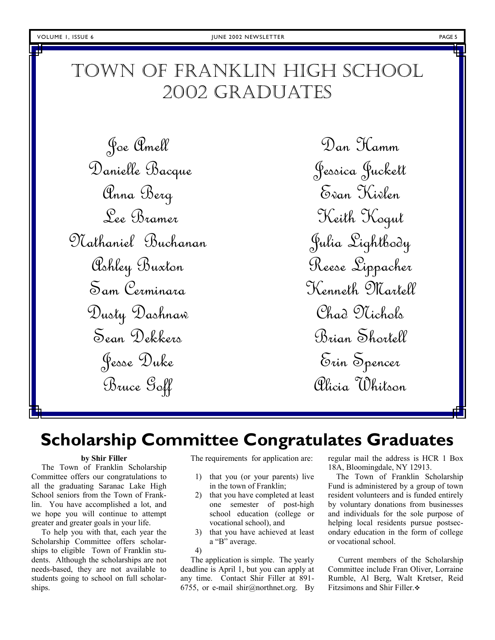# TOWN OF FRANKLIN HIGH SCHOOL 2002 GRADUATES

Joe Amell Danielle Bacque Anna Berg Lee Bramer Nathaniel Buchanan Ashley Buxton Sam Cerminara Dusty Dashnaw Sean Dekkers Jesse Duke Bruce Goff

Dan Hamm Jessica Juckett Evan Kivlen Keith Kogut Julia Lightbody Reese Lippacher Kenneth Martell Chad Nichols Brian Shortell Erin Spencer Alicia Whitson

# **Scholarship Committee Congratulates Graduates**

#### **by Shir Filler**

 The Town of Franklin Scholarship Committee offers our congratulations to all the graduating Saranac Lake High School seniors from the Town of Franklin. You have accomplished a lot, and we hope you will continue to attempt greater and greater goals in your life.

 To help you with that, each year the Scholarship Committee offers scholarships to eligible Town of Franklin students. Although the scholarships are not needs-based, they are not available to students going to school on full scholarships.

The requirements for application are:

- 1) that you (or your parents) live in the town of Franklin;
- 2) that you have completed at least one semester of post-high school education (college or vocational school), and
- 3) that you have achieved at least a "B" average.
- 4)

 The application is simple. The yearly deadline is April 1, but you can apply at any time. Contact Shir Filler at 891- 6755, or e-mail shir@northnet.org. By regular mail the address is HCR 1 Box 18A, Bloomingdale, NY 12913.

 The Town of Franklin Scholarship Fund is administered by a group of town resident volunteers and is funded entirely by voluntary donations from businesses and individuals for the sole purpose of helping local residents pursue postsecondary education in the form of college or vocational school.

 Current members of the Scholarship Committee include Fran Oliver, Lorraine Rumble, Al Berg, Walt Kretser, Reid Fitzsimons and Shir Filler.